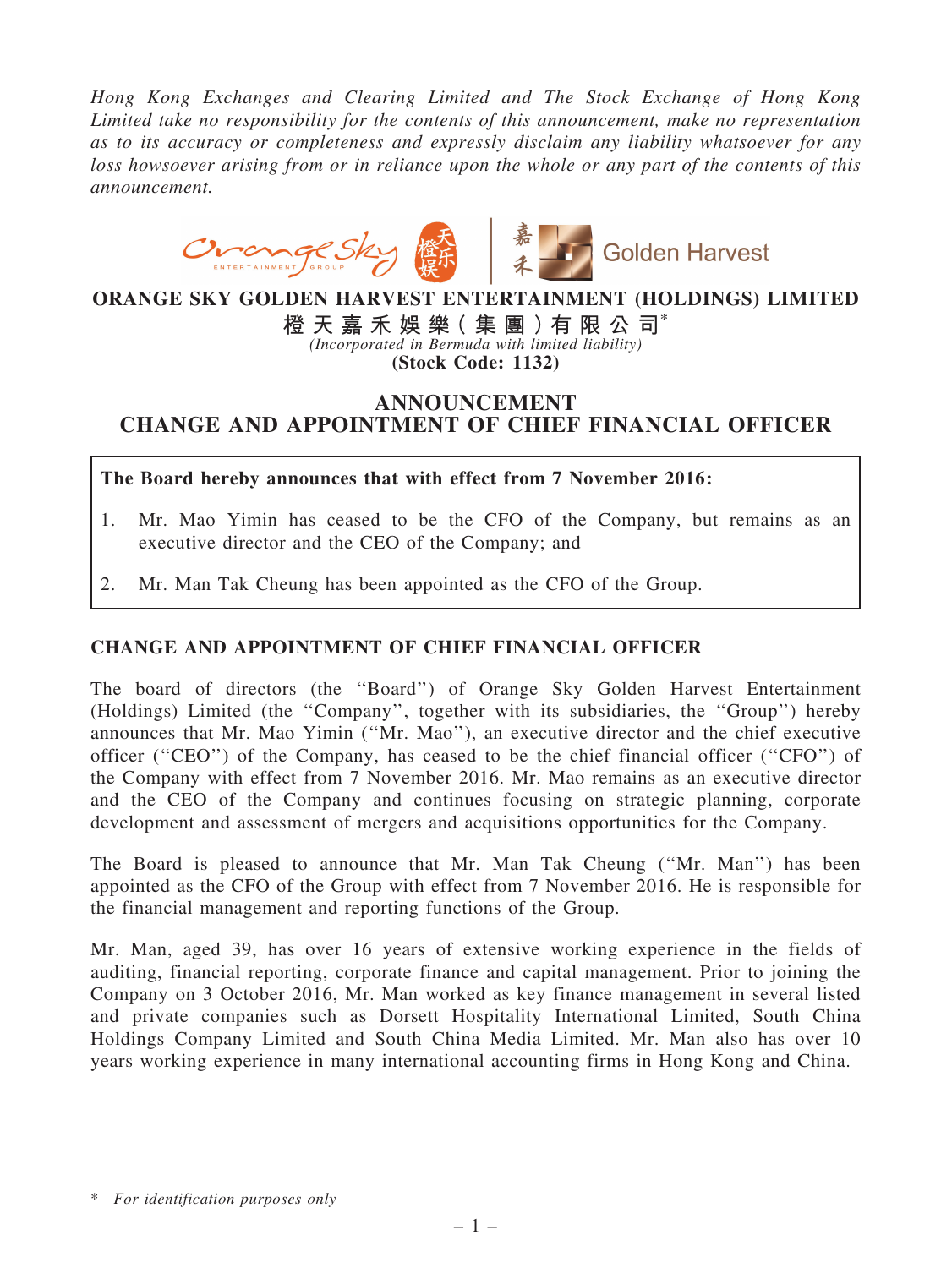*Hong Kong Exchanges and Clearing Limited and The Stock Exchange of Hong Kong Limited take no responsibility for the contents of this announcement, make no representation as to its accuracy or completeness and expressly disclaim any liability whatsoever for any loss howsoever arising from or in reliance upon the whole or any part of the contents of this announcement.*



ORANGE SKY GOLDEN HARVEST ENTERTAINMENT (HOLDINGS) LIMITED

橙 天 嘉 禾 娛 樂 ( 集 團 ) 有 限 公 司 $^*$ 

*(Incorporated in Bermuda with limited liability)* (Stock Code: 1132)

## ANNOUNCEMENT CHANGE AND APPOINTMENT OF CHIEF FINANCIAL OFFICER

The Board hereby announces that with effect from 7 November 2016:

- 1. Mr. Mao Yimin has ceased to be the CFO of the Company, but remains as an executive director and the CEO of the Company; and
- 2. Mr. Man Tak Cheung has been appointed as the CFO of the Group.

## CHANGE AND APPOINTMENT OF CHIEF FINANCIAL OFFICER

The board of directors (the ''Board'') of Orange Sky Golden Harvest Entertainment (Holdings) Limited (the ''Company'', together with its subsidiaries, the ''Group'') hereby announces that Mr. Mao Yimin (''Mr. Mao''), an executive director and the chief executive officer (''CEO'') of the Company, has ceased to be the chief financial officer (''CFO'') of the Company with effect from 7 November 2016. Mr. Mao remains as an executive director and the CEO of the Company and continues focusing on strategic planning, corporate development and assessment of mergers and acquisitions opportunities for the Company.

The Board is pleased to announce that Mr. Man Tak Cheung (''Mr. Man'') has been appointed as the CFO of the Group with effect from 7 November 2016. He is responsible for the financial management and reporting functions of the Group.

Mr. Man, aged 39, has over 16 years of extensive working experience in the fields of auditing, financial reporting, corporate finance and capital management. Prior to joining the Company on 3 October 2016, Mr. Man worked as key finance management in several listed and private companies such as Dorsett Hospitality International Limited, South China Holdings Company Limited and South China Media Limited. Mr. Man also has over 10 years working experience in many international accounting firms in Hong Kong and China.

<sup>\*</sup> *For identification purposes only*